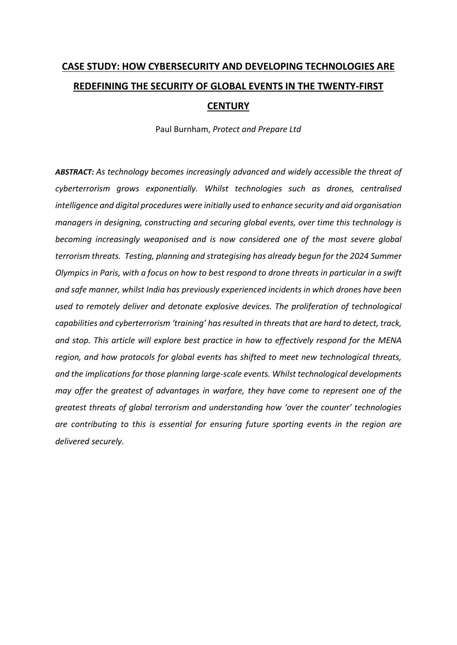# **CASE STUDY: HOW CYBERSECURITY AND DEVELOPING TECHNOLOGIES ARE REDEFINING THE SECURITY OF GLOBAL EVENTS IN THE TWENTY-FIRST CENTURY**

Paul Burnham, *Protect and Prepare Ltd*

*ABSTRACT: As technology becomes increasingly advanced and widely accessible the threat of cyberterrorism grows exponentially. Whilst technologies such as drones, centralised intelligence and digital procedures were initially used to enhance security and aid organisation managers in designing, constructing and securing global events, over time this technology is becoming increasingly weaponised and is now considered one of the most severe global terrorism threats. Testing, planning and strategising has already begun for the 2024 Summer Olympics in Paris, with a focus on how to best respond to drone threats in particular in a swift and safe manner, whilst India has previously experienced incidents in which drones have been used to remotely deliver and detonate explosive devices. The proliferation of technological capabilities and cyberterrorism 'training' has resulted in threats that are hard to detect, track, and stop. This article will explore best practice in how to effectively respond for the MENA region, and how protocols for global events has shifted to meet new technological threats, and the implications for those planning large-scale events. Whilst technological developments may offer the greatest of advantages in warfare, they have come to represent one of the greatest threats of global terrorism and understanding how 'over the counter' technologies are contributing to this is essential for ensuring future sporting events in the region are delivered securely.*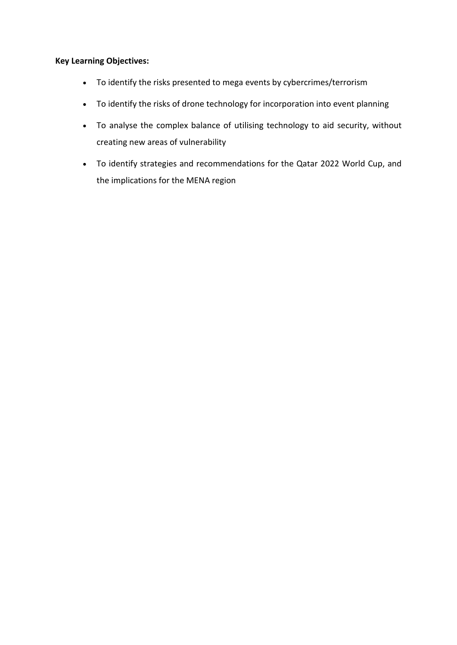## **Key Learning Objectives:**

- To identify the risks presented to mega events by cybercrimes/terrorism
- To identify the risks of drone technology for incorporation into event planning
- To analyse the complex balance of utilising technology to aid security, without creating new areas of vulnerability
- To identify strategies and recommendations for the Qatar 2022 World Cup, and the implications for the MENA region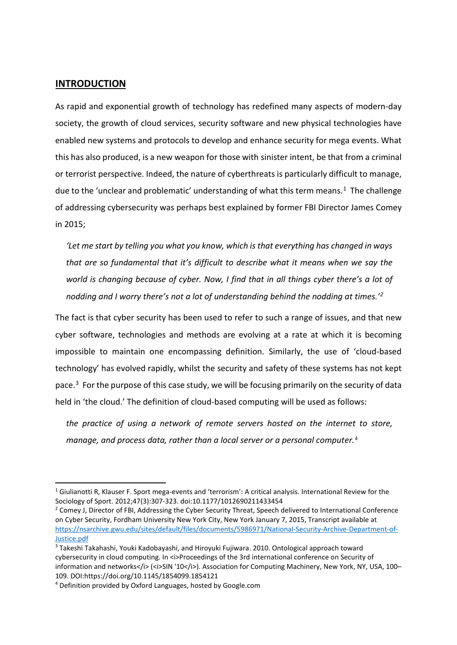## **INTRODUCTION**

As rapid and exponential growth of technology has redefined many aspects of modern-day society, the growth of cloud services, security software and new physical technologies have enabled new systems and protocols to develop and enhance security for mega events. What this has also produced, is a new weapon for those with sinister intent, be that from a criminal or terrorist perspective. Indeed, the nature of cyberthreats is particularly difficult to manage, due to the 'unclear and problematic' understanding of what this term means.<sup>[1](#page-2-0)</sup> The challenge of addressing cybersecurity was perhaps best explained by former FBI Director James Comey in 2015;

*'Let me start by telling you what you know, which is that everything has changed in ways that are so fundamental that it's difficult to describe what it means when we say the world is changing because of cyber. Now, I find that in all things cyber there's a lot of nodding and I worry there's not a lot of understanding behind the nodding at times.'[2](#page-2-1)*

The fact is that cyber security has been used to refer to such a range of issues, and that new cyber software, technologies and methods are evolving at a rate at which it is becoming impossible to maintain one encompassing definition. Similarly, the use of 'cloud-based technology' has evolved rapidly, whilst the security and safety of these systems has not kept pace.[3](#page-2-2) For the purpose of this case study, we will be focusing primarily on the security of data held in 'the cloud.' The definition of cloud-based computing will be used as follows:

*the practice of using a network of remote servers hosted on the internet to store, manage, and process data, rather than a local server or a personal computer.*[4](#page-2-3)

<span id="page-2-0"></span> <sup>1</sup> Giulianotti R, Klauser F. Sport mega-events and 'terrorism': A critical analysis. International Review for the Sociology of Sport. 2012;47(3):307-323. doi:10.1177/1012690211433454

<span id="page-2-1"></span><sup>&</sup>lt;sup>2</sup> Comey J, Director of FBI, Addressing the Cyber Security Threat, Speech delivered to International Conference on Cyber Security, Fordham University New York City, New York January 7, 2015, Transcript available at [https://nsarchive.gwu.edu/sites/default/files/documents/5986971/National-Security-Archive-Department-of-](https://nsarchive.gwu.edu/sites/default/files/documents/5986971/National-Security-Archive-Department-of-Justice.pdf)[Justice.pdf](https://nsarchive.gwu.edu/sites/default/files/documents/5986971/National-Security-Archive-Department-of-Justice.pdf)

<span id="page-2-2"></span><sup>3</sup> Takeshi Takahashi, Youki Kadobayashi, and Hiroyuki Fujiwara. 2010. Ontological approach toward cybersecurity in cloud computing. In <i>Proceedings of the 3rd international conference on Security of information and networks</i> (<i>SIN '10</i>>/i>). Association for Computing Machinery, New York, NY, USA, 100– 109. DOI:https://doi.org/10.1145/1854099.1854121

<span id="page-2-3"></span><sup>4</sup> Definition provided by Oxford Languages, hosted by Google.com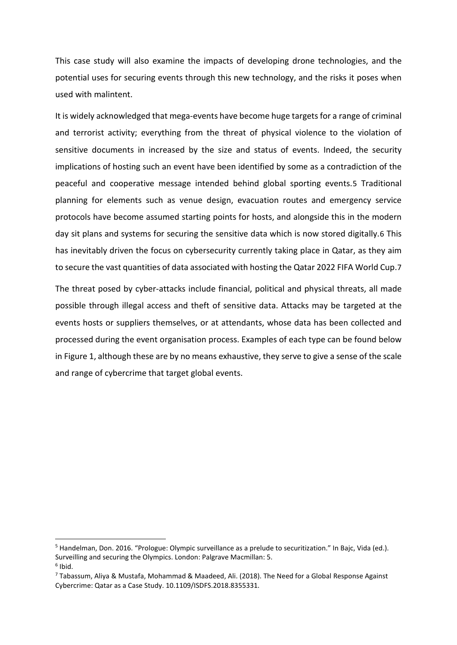This case study will also examine the impacts of developing drone technologies, and the potential uses for securing events through this new technology, and the risks it poses when used with malintent.

It is widely acknowledged that mega-events have become huge targets for a range of criminal and terrorist activity; everything from the threat of physical violence to the violation of sensitive documents in increased by the size and status of events. Indeed, the security implications of hosting such an event have been identified by some as a contradiction of the peaceful and cooperative message intended behind global sporting events.[5](#page-3-0) Traditional planning for elements such as venue design, evacuation routes and emergency service protocols have become assumed starting points for hosts, and alongside this in the modern day sit plans and systems for securing the sensitive data which is now stored digitally.[6](#page-3-1) This has inevitably driven the focus on cybersecurity currently taking place in Qatar, as they aim to secure the vast quantities of data associated with hosting the Qatar 2022 FIFA World Cup.[7](#page-3-2)

The threat posed by cyber-attacks include financial, political and physical threats, all made possible through illegal access and theft of sensitive data. Attacks may be targeted at the events hosts or suppliers themselves, or at attendants, whose data has been collected and processed during the event organisation process. Examples of each type can be found below in Figure 1, although these are by no means exhaustive, they serve to give a sense of the scale and range of cybercrime that target global events.

<span id="page-3-0"></span><sup>&</sup>lt;sup>5</sup> Handelman, Don. 2016. "Prologue: Olympic surveillance as a prelude to securitization." In Bajc, Vida (ed.). Surveilling and securing the Olympics. London: Palgrave Macmillan: 5.  $6$  Ibid.

<span id="page-3-2"></span><span id="page-3-1"></span><sup>7</sup> Tabassum, Aliya & Mustafa, Mohammad & Maadeed, Ali. (2018). The Need for a Global Response Against Cybercrime: Qatar as a Case Study. 10.1109/ISDFS.2018.8355331.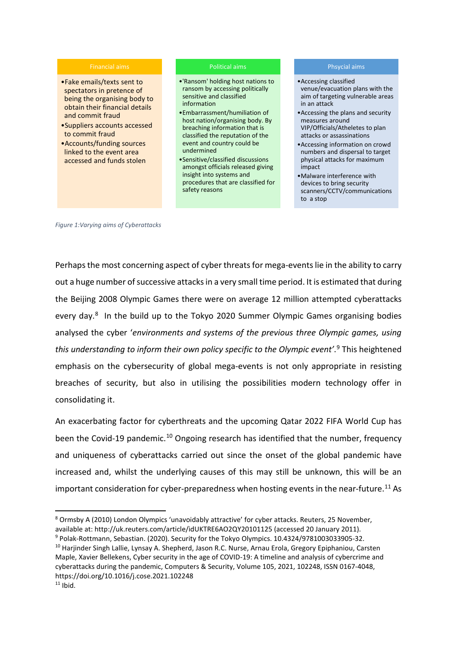#### Financial aims

- •Fake emails/texts sent to spectators in pretence of being the organising body to obtain their financial details and commit fraud
- •Suppliers accounts accessed to commit fraud
- •Accounts/funding sources linked to the event area accessed and funds stolen

#### Political aims

- •'Ransom' holding host nations to ransom by accessing politically sensitive and classified information
- •Embarrassment/humiliation of host nation/organising body. By breaching information that is classified the reputation of the event and country could be undermined
- •Sensitive/classified discussions amongst officials released giving insight into systems and procedures that are classified for safety reasons

#### Phsycial aims

- •Accessing classified venue/evacuation plans with the aim of targeting vulnerable areas in an attack
- •Accessing the plans and security measures around VIP/Officials/Atheletes to plan attacks or assassinations
- •Accessing information on crowd numbers and dispersal to target physical attacks for maximum impact
- •Malware interference with devices to bring security scanners/CCTV/communications to a stop

*Figure 1:Varying aims of Cyberattacks*

Perhaps the most concerning aspect of cyber threats for mega-events lie in the ability to carry out a huge number of successive attacks in a very small time period. It is estimated that during the Beijing 2008 Olympic Games there were on average 12 million attempted cyberattacks every day.<sup>[8](#page-4-0)</sup> In the build up to the Tokyo 2020 Summer Olympic Games organising bodies analysed the cyber '*environments and systems of the previous three Olympic games, using this understanding to inform their own policy specific to the Olympic event'*. [9](#page-4-1) This heightened emphasis on the cybersecurity of global mega-events is not only appropriate in resisting breaches of security, but also in utilising the possibilities modern technology offer in consolidating it.

An exacerbating factor for cyberthreats and the upcoming Qatar 2022 FIFA World Cup has been the Covid-19 pandemic.<sup>[10](#page-4-2)</sup> Ongoing research has identified that the number, frequency and uniqueness of cyberattacks carried out since the onset of the global pandemic have increased and, whilst the underlying causes of this may still be unknown, this will be an important consideration for cyber-preparedness when hosting events in the near-future.<sup>[11](#page-4-3)</sup> As

<span id="page-4-1"></span><sup>9</sup> Polak-Rottmann, Sebastian. (2020). Security for the Tokyo Olympics. 10.4324/9781003033905-32.

<span id="page-4-0"></span> <sup>8</sup> Ormsby A (2010) London Olympics 'unavoidably attractive' for cyber attacks. Reuters, 25 November, available at: http://uk.reuters.com/article/idUKTRE6AO2QY20101125 (accessed 20 January 2011).

<span id="page-4-3"></span><span id="page-4-2"></span><sup>&</sup>lt;sup>10</sup> Harjinder Singh Lallie, Lynsay A. Shepherd, Jason R.C. Nurse, Arnau Erola, Gregory Epiphaniou, Carsten Maple, Xavier Bellekens, Cyber security in the age of COVID-19: A timeline and analysis of cybercrime and cyberattacks during the pandemic, Computers & Security, Volume 105, 2021, 102248, ISSN 0167-4048, https://doi.org/10.1016/j.cose.2021.102248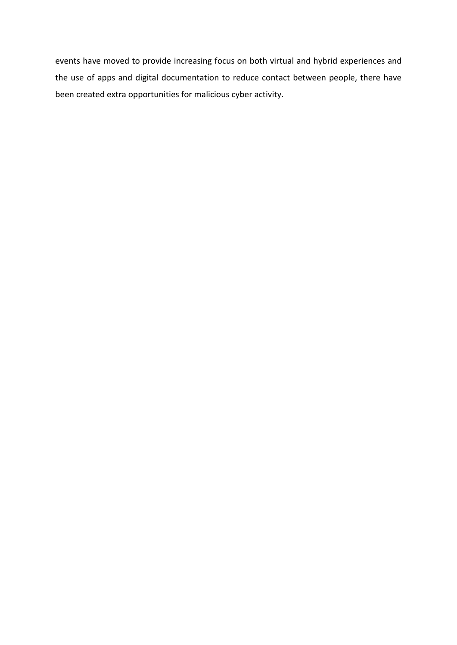events have moved to provide increasing focus on both virtual and hybrid experiences and the use of apps and digital documentation to reduce contact between people, there have been created extra opportunities for malicious cyber activity.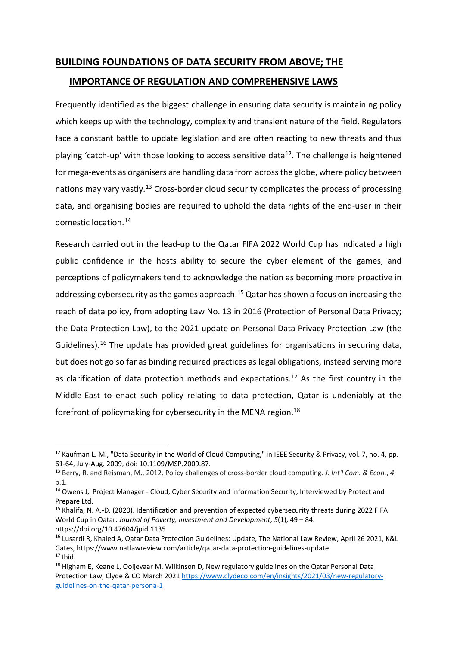# **BUILDING FOUNDATIONS OF DATA SECURITY FROM ABOVE; THE IMPORTANCE OF REGULATION AND COMPREHENSIVE LAWS**

Frequently identified as the biggest challenge in ensuring data security is maintaining policy which keeps up with the technology, complexity and transient nature of the field. Regulators face a constant battle to update legislation and are often reacting to new threats and thus playing 'catch-up' with those looking to access sensitive data<sup>[12](#page-6-0)</sup>. The challenge is heightened for mega-events as organisers are handling data from across the globe, where policy between nations may vary vastly.<sup>[13](#page-6-1)</sup> Cross-border cloud security complicates the process of processing data, and organising bodies are required to uphold the data rights of the end-user in their domestic location.[14](#page-6-2)

Research carried out in the lead-up to the Qatar FIFA 2022 World Cup has indicated a high public confidence in the hosts ability to secure the cyber element of the games, and perceptions of policymakers tend to acknowledge the nation as becoming more proactive in addressing cybersecurity as the games approach.<sup>[15](#page-6-3)</sup> Qatar has shown a focus on increasing the reach of data policy, from adopting Law No. 13 in 2016 (Protection of Personal Data Privacy; the Data Protection Law), to the 2021 update on Personal Data Privacy Protection Law (the Guidelines).<sup>[16](#page-6-4)</sup> The update has provided great guidelines for organisations in securing data, but does not go so far as binding required practices as legal obligations, instead serving more as clarification of data protection methods and expectations.<sup>[17](#page-6-5)</sup> As the first country in the Middle-East to enact such policy relating to data protection, Qatar is undeniably at the forefront of policymaking for cybersecurity in the MENA region.<sup>[18](#page-6-6)</sup>

<span id="page-6-0"></span><sup>&</sup>lt;sup>12</sup> Kaufman L. M., "Data Security in the World of Cloud Computing," in IEEE Security & Privacy, vol. 7, no. 4, pp. 61-64, July-Aug. 2009, doi: 10.1109/MSP.2009.87.

<span id="page-6-1"></span><sup>13</sup> Berry, R. and Reisman, M., 2012. Policy challenges of cross-border cloud computing. *J. Int'l Com. & Econ.*, *4*, p.1.

<span id="page-6-2"></span><sup>&</sup>lt;sup>14</sup> Owens J, Project Manager - Cloud, Cyber Security and Information Security, Interviewed by Protect and Prepare Ltd.

<span id="page-6-3"></span><sup>&</sup>lt;sup>15</sup> Khalifa, N. A.-D. (2020). Identification and prevention of expected cybersecurity threats during 2022 FIFA World Cup in Qatar. *Journal of Poverty, Investment and Development*, *5*(1), 49 – 84. https://doi.org/10.47604/jpid.1135

<span id="page-6-4"></span><sup>&</sup>lt;sup>16</sup> Lusardi R, Khaled A, Qatar Data Protection Guidelines: Update, The National Law Review, April 26 2021, K&L Gates, https://www.natlawreview.com/article/qatar-data-protection-guidelines-update  $17$  Ibid

<span id="page-6-6"></span><span id="page-6-5"></span><sup>&</sup>lt;sup>18</sup> Higham E, Keane L, Ooijevaar M, Wilkinson D, New regulatory guidelines on the Qatar Personal Data Protection Law, Clyde & CO March 2021 [https://www.clydeco.com/en/insights/2021/03/new-regulatory](https://www.clydeco.com/en/insights/2021/03/new-regulatory-guidelines-on-the-qatar-persona-1)[guidelines-on-the-qatar-persona-1](https://www.clydeco.com/en/insights/2021/03/new-regulatory-guidelines-on-the-qatar-persona-1)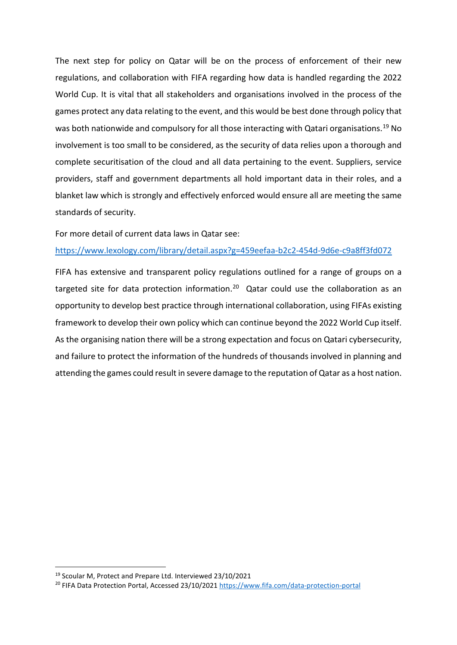The next step for policy on Qatar will be on the process of enforcement of their new regulations, and collaboration with FIFA regarding how data is handled regarding the 2022 World Cup. It is vital that all stakeholders and organisations involved in the process of the games protect any data relating to the event, and this would be best done through policy that was both nationwide and compulsory for all those interacting with Qatari organisations.<sup>[19](#page-7-0)</sup> No involvement is too small to be considered, as the security of data relies upon a thorough and complete securitisation of the cloud and all data pertaining to the event. Suppliers, service providers, staff and government departments all hold important data in their roles, and a blanket law which is strongly and effectively enforced would ensure all are meeting the same standards of security.

For more detail of current data laws in Qatar see:

<https://www.lexology.com/library/detail.aspx?g=459eefaa-b2c2-454d-9d6e-c9a8ff3fd072>

FIFA has extensive and transparent policy regulations outlined for a range of groups on a targeted site for data protection information.<sup>[20](#page-7-1)</sup> Qatar could use the collaboration as an opportunity to develop best practice through international collaboration, using FIFAs existing framework to develop their own policy which can continue beyond the 2022 World Cup itself. As the organising nation there will be a strong expectation and focus on Qatari cybersecurity, and failure to protect the information of the hundreds of thousands involved in planning and attending the games could result in severe damage to the reputation of Qatar as a host nation.

<span id="page-7-0"></span> <sup>19</sup> Scoular M, Protect and Prepare Ltd. Interviewed 23/10/2021

<span id="page-7-1"></span><sup>20</sup> FIFA Data Protection Portal, Accessed 23/10/2021<https://www.fifa.com/data-protection-portal>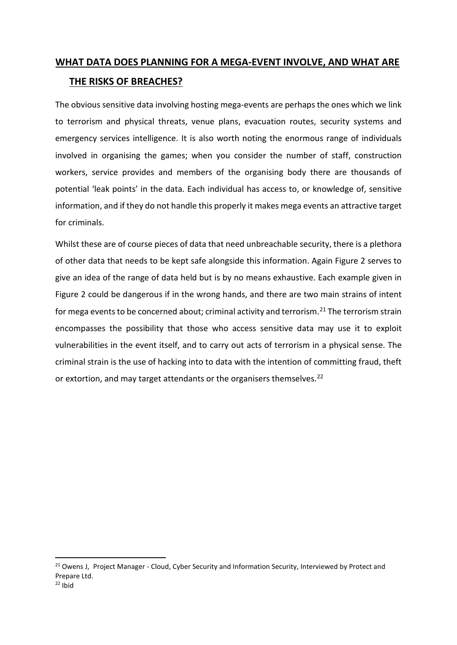## **WHAT DATA DOES PLANNING FOR A MEGA-EVENT INVOLVE, AND WHAT ARE THE RISKS OF BREACHES?**

The obvious sensitive data involving hosting mega-events are perhaps the ones which we link to terrorism and physical threats, venue plans, evacuation routes, security systems and emergency services intelligence. It is also worth noting the enormous range of individuals involved in organising the games; when you consider the number of staff, construction workers, service provides and members of the organising body there are thousands of potential 'leak points' in the data. Each individual has access to, or knowledge of, sensitive information, and if they do not handle this properly it makes mega events an attractive target for criminals.

Whilst these are of course pieces of data that need unbreachable security, there is a plethora of other data that needs to be kept safe alongside this information. Again Figure 2 serves to give an idea of the range of data held but is by no means exhaustive. Each example given in Figure 2 could be dangerous if in the wrong hands, and there are two main strains of intent for mega events to be concerned about; criminal activity and terrorism.<sup>[21](#page-8-0)</sup> The terrorism strain encompasses the possibility that those who access sensitive data may use it to exploit vulnerabilities in the event itself, and to carry out acts of terrorism in a physical sense. The criminal strain is the use of hacking into to data with the intention of committing fraud, theft or extortion, and may target attendants or the organisers themselves.<sup>[22](#page-8-1)</sup>

<span id="page-8-1"></span><span id="page-8-0"></span><sup>&</sup>lt;sup>21</sup> Owens J, Project Manager - Cloud, Cyber Security and Information Security, Interviewed by Protect and Prepare Ltd.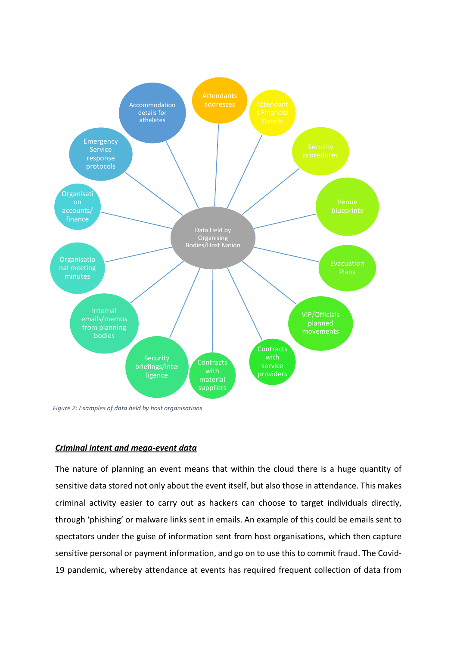

*Figure 2: Examples of data held by host organisations*

### *Criminal intent and mega-event data*

The nature of planning an event means that within the cloud there is a huge quantity of sensitive data stored not only about the event itself, but also those in attendance. This makes criminal activity easier to carry out as hackers can choose to target individuals directly, through 'phishing' or malware links sent in emails. An example of this could be emails sent to spectators under the guise of information sent from host organisations, which then capture sensitive personal or payment information, and go on to use this to commit fraud. The Covid-19 pandemic, whereby attendance at events has required frequent collection of data from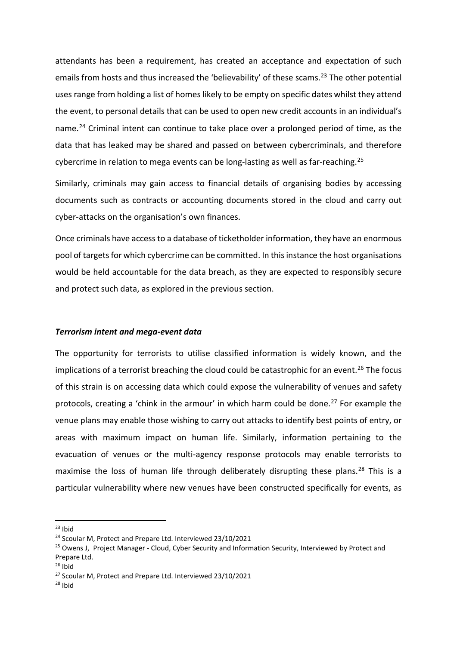attendants has been a requirement, has created an acceptance and expectation of such emails from hosts and thus increased the 'believability' of these scams.<sup>[23](#page-10-0)</sup> The other potential uses range from holding a list of homes likely to be empty on specific dates whilst they attend the event, to personal details that can be used to open new credit accounts in an individual's name.<sup>[24](#page-10-1)</sup> Criminal intent can continue to take place over a prolonged period of time, as the data that has leaked may be shared and passed on between cybercriminals, and therefore cybercrime in relation to mega events can be long-lasting as well as far-reaching.<sup>[25](#page-10-2)</sup>

Similarly, criminals may gain access to financial details of organising bodies by accessing documents such as contracts or accounting documents stored in the cloud and carry out cyber-attacks on the organisation's own finances.

Once criminals have access to a database of ticketholder information, they have an enormous pool of targets for which cybercrime can be committed. In this instance the host organisations would be held accountable for the data breach, as they are expected to responsibly secure and protect such data, as explored in the previous section.

### *Terrorism intent and mega-event data*

The opportunity for terrorists to utilise classified information is widely known, and the implications of a terrorist breaching the cloud could be catastrophic for an event.<sup>[26](#page-10-3)</sup> The focus of this strain is on accessing data which could expose the vulnerability of venues and safety protocols, creating a 'chink in the armour' in which harm could be done.<sup>[27](#page-10-4)</sup> For example the venue plans may enable those wishing to carry out attacks to identify best points of entry, or areas with maximum impact on human life. Similarly, information pertaining to the evacuation of venues or the multi-agency response protocols may enable terrorists to maximise the loss of human life through deliberately disrupting these plans.<sup>[28](#page-10-5)</sup> This is a particular vulnerability where new venues have been constructed specifically for events, as

<span id="page-10-5"></span> $28$  Ibid

<span id="page-10-0"></span> $23$  Ibid

<span id="page-10-1"></span><sup>&</sup>lt;sup>24</sup> Scoular M, Protect and Prepare Ltd. Interviewed 23/10/2021

<span id="page-10-2"></span><sup>&</sup>lt;sup>25</sup> Owens J, Project Manager - Cloud, Cyber Security and Information Security, Interviewed by Protect and Prepare Ltd.

<span id="page-10-3"></span> $26$  Ibid

<span id="page-10-4"></span><sup>27</sup> Scoular M, Protect and Prepare Ltd. Interviewed 23/10/2021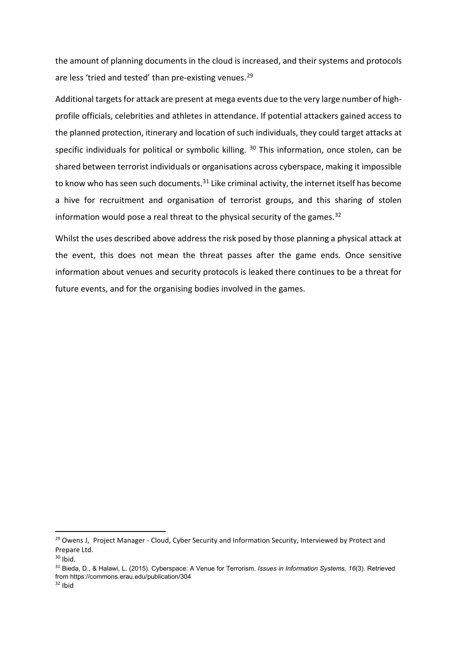the amount of planning documents in the cloud is increased, and their systems and protocols are less 'tried and tested' than pre-existing venues.<sup>[29](#page-11-0)</sup>

Additional targets for attack are present at mega events due to the very large number of highprofile officials, celebrities and athletes in attendance. If potential attackers gained access to the planned protection, itinerary and location of such individuals, they could target attacks at specific individuals for political or symbolic killing.  $30$  This information, once stolen, can be shared between terrorist individuals or organisations across cyberspace, making it impossible to know who has seen such documents.<sup>[31](#page-11-2)</sup> Like criminal activity, the internet itself has become a hive for recruitment and organisation of terrorist groups, and this sharing of stolen information would pose a real threat to the physical security of the games.<sup>[32](#page-11-3)</sup>

Whilst the uses described above address the risk posed by those planning a physical attack at the event, this does not mean the threat passes after the game ends. Once sensitive information about venues and security protocols is leaked there continues to be a threat for future events, and for the organising bodies involved in the games.

<span id="page-11-0"></span><sup>&</sup>lt;sup>29</sup> Owens J, Project Manager - Cloud, Cyber Security and Information Security, Interviewed by Protect and Prepare Ltd.

<span id="page-11-1"></span> $30$  Ibid.

<span id="page-11-3"></span><span id="page-11-2"></span><sup>31</sup> Bieda, D., & Halawi, L. (2015). Cyberspace: A Venue for Terrorism. *Issues in Information Systems, 16*(3). Retrieved from https://commons.erau.edu/publication/304  $32$  Ibid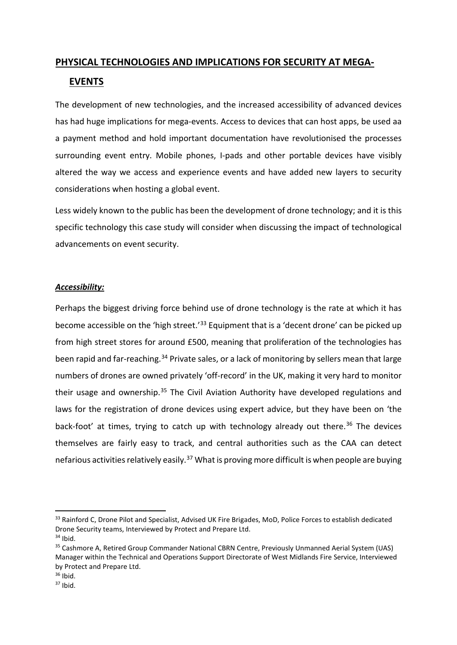## **PHYSICAL TECHNOLOGIES AND IMPLICATIONS FOR SECURITY AT MEGA-**

## **EVENTS**

The development of new technologies, and the increased accessibility of advanced devices has had huge implications for mega-events. Access to devices that can host apps, be used aa a payment method and hold important documentation have revolutionised the processes surrounding event entry. Mobile phones, I-pads and other portable devices have visibly altered the way we access and experience events and have added new layers to security considerations when hosting a global event.

Less widely known to the public has been the development of drone technology; and it is this specific technology this case study will consider when discussing the impact of technological advancements on event security.

## *Accessibility:*

Perhaps the biggest driving force behind use of drone technology is the rate at which it has become accessible on the 'high street.'<sup>[33](#page-12-0)</sup> Equipment that is a 'decent drone' can be picked up from high street stores for around £500, meaning that proliferation of the technologies has been rapid and far-reaching.<sup>[34](#page-12-1)</sup> Private sales, or a lack of monitoring by sellers mean that large numbers of drones are owned privately 'off-record' in the UK, making it very hard to monitor their usage and ownership.<sup>[35](#page-12-2)</sup> The Civil Aviation Authority have developed regulations and laws for the registration of drone devices using expert advice, but they have been on 'the back-foot' at times, trying to catch up with technology already out there.<sup>[36](#page-12-3)</sup> The devices themselves are fairly easy to track, and central authorities such as the CAA can detect nefarious activities relatively easily.<sup>[37](#page-12-4)</sup> What is proving more difficult is when people are buying

<span id="page-12-0"></span><sup>33</sup> Rainford C, Drone Pilot and Specialist, Advised UK Fire Brigades, MoD, Police Forces to establish dedicated Drone Security teams, Interviewed by Protect and Prepare Ltd.

<span id="page-12-1"></span> $34$  Ibid.

<span id="page-12-2"></span><sup>&</sup>lt;sup>35</sup> Cashmore A, Retired Group Commander National CBRN Centre, Previously Unmanned Aerial System (UAS) Manager within the Technical and Operations Support Directorate of West Midlands Fire Service, Interviewed by Protect and Prepare Ltd.

<span id="page-12-3"></span> $36$  Ibid.

<span id="page-12-4"></span> $37$  Ibid.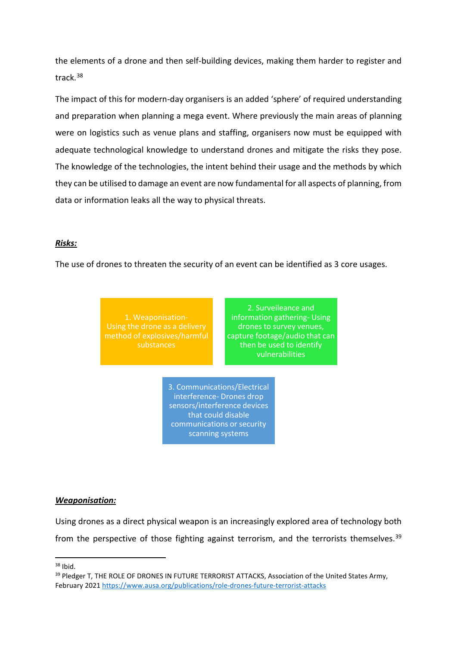the elements of a drone and then self-building devices, making them harder to register and track.[38](#page-13-0)

The impact of this for modern-day organisers is an added 'sphere' of required understanding and preparation when planning a mega event. Where previously the main areas of planning were on logistics such as venue plans and staffing, organisers now must be equipped with adequate technological knowledge to understand drones and mitigate the risks they pose. The knowledge of the technologies, the intent behind their usage and the methods by which they can be utilised to damage an event are now fundamental for all aspects of planning, from data or information leaks all the way to physical threats.

### *Risks:*

The use of drones to threaten the security of an event can be identified as 3 core usages.

1. Weaponisation-Using the drone as a delivery substances

2. Surveileance and information gathering- Using drones to survey venues, capture footage/audio that can then be used to identify vulnerabilities

3. Communications/Electrical interference- Drones drop sensors/interference devices that could disable communications or security scanning systems

### *Weaponisation:*

Using drones as a direct physical weapon is an increasingly explored area of technology both from the perspective of those fighting against terrorism, and the terrorists themselves.<sup>[39](#page-13-1)</sup>

<span id="page-13-0"></span> $38$  Ibid.

<span id="page-13-1"></span><sup>&</sup>lt;sup>39</sup> Pledger T, THE ROLE OF DRONES IN FUTURE TERRORIST ATTACKS, Association of the United States Army, February 2021<https://www.ausa.org/publications/role-drones-future-terrorist-attacks>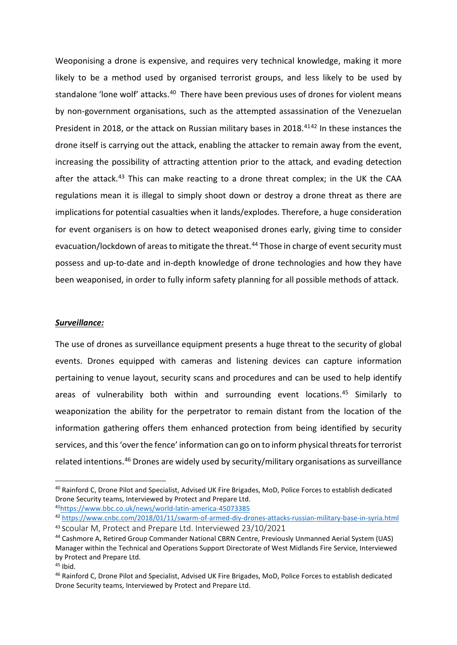Weoponising a drone is expensive, and requires very technical knowledge, making it more likely to be a method used by organised terrorist groups, and less likely to be used by standalone 'lone wolf' attacks.<sup>40</sup> There have been previous uses of drones for violent means by non-government organisations, such as the attempted assassination of the Venezuelan President in 2018, or the attack on Russian military bases in 2018.<sup>41[42](#page-14-2)</sup> In these instances the drone itself is carrying out the attack, enabling the attacker to remain away from the event, increasing the possibility of attracting attention prior to the attack, and evading detection after the attack.<sup>[43](#page-14-3)</sup> This can make reacting to a drone threat complex; in the UK the CAA regulations mean it is illegal to simply shoot down or destroy a drone threat as there are implications for potential casualties when it lands/explodes. Therefore, a huge consideration for event organisers is on how to detect weaponised drones early, giving time to consider evacuation/lockdown of areas to mitigate the threat.<sup>[44](#page-14-4)</sup> Those in charge of event security must possess and up-to-date and in-depth knowledge of drone technologies and how they have been weaponised, in order to fully inform safety planning for all possible methods of attack.

### *Surveillance:*

The use of drones as surveillance equipment presents a huge threat to the security of global events. Drones equipped with cameras and listening devices can capture information pertaining to venue layout, security scans and procedures and can be used to help identify areas of vulnerability both within and surrounding event locations.<sup>[45](#page-14-5)</sup> Similarly to weaponization the ability for the perpetrator to remain distant from the location of the information gathering offers them enhanced protection from being identified by security services, and this 'over the fence' information can go on to inform physical threats for terrorist related intentions.[46](#page-14-6) Drones are widely used by security/military organisations as surveillance

<span id="page-14-0"></span><sup>&</sup>lt;sup>40</sup> Rainford C, Drone Pilot and Specialist, Advised UK Fire Brigades, MoD, Police Forces to establish dedicated Drone Security teams, Interviewed by Protect and Prepare Ltd. 4[1https://www.bbc.co.uk/news/world-latin-america-45073385](https://www.bbc.co.uk/news/world-latin-america-45073385)

<span id="page-14-2"></span><span id="page-14-1"></span><sup>42</sup> <https://www.cnbc.com/2018/01/11/swarm-of-armed-diy-drones-attacks-russian-military-base-in-syria.html> <sup>43</sup> Scoular M, Protect and Prepare Ltd. Interviewed 23/10/2021

<span id="page-14-4"></span><span id="page-14-3"></span><sup>44</sup> Cashmore A, Retired Group Commander National CBRN Centre, Previously Unmanned Aerial System (UAS) Manager within the Technical and Operations Support Directorate of West Midlands Fire Service, Interviewed by Protect and Prepare Ltd.

<span id="page-14-5"></span> $45$  Ibid.

<span id="page-14-6"></span><sup>46</sup> Rainford C, Drone Pilot and Specialist, Advised UK Fire Brigades, MoD, Police Forces to establish dedicated Drone Security teams, Interviewed by Protect and Prepare Ltd.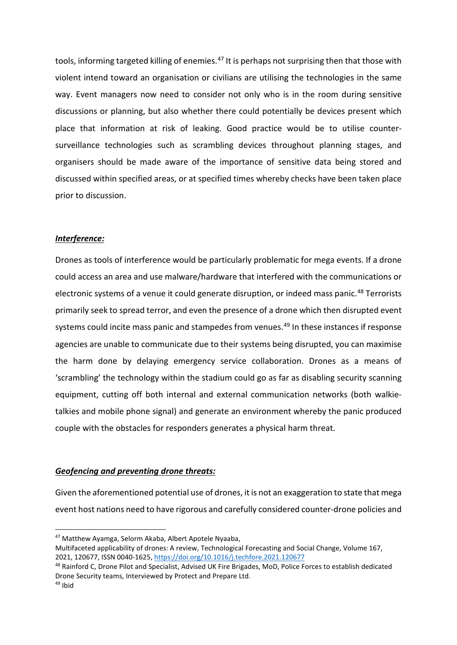tools, informing targeted killing of enemies.<sup>[47](#page-15-0)</sup> It is perhaps not surprising then that those with violent intend toward an organisation or civilians are utilising the technologies in the same way. Event managers now need to consider not only who is in the room during sensitive discussions or planning, but also whether there could potentially be devices present which place that information at risk of leaking. Good practice would be to utilise countersurveillance technologies such as scrambling devices throughout planning stages, and organisers should be made aware of the importance of sensitive data being stored and discussed within specified areas, or at specified times whereby checks have been taken place prior to discussion.

### *Interference:*

Drones as tools of interference would be particularly problematic for mega events. If a drone could access an area and use malware/hardware that interfered with the communications or electronic systems of a venue it could generate disruption, or indeed mass panic.<sup>[48](#page-15-1)</sup> Terrorists primarily seek to spread terror, and even the presence of a drone which then disrupted event systems could incite mass panic and stampedes from venues.<sup>[49](#page-15-2)</sup> In these instances if response agencies are unable to communicate due to their systems being disrupted, you can maximise the harm done by delaying emergency service collaboration. Drones as a means of 'scrambling' the technology within the stadium could go as far as disabling security scanning equipment, cutting off both internal and external communication networks (both walkietalkies and mobile phone signal) and generate an environment whereby the panic produced couple with the obstacles for responders generates a physical harm threat.

### *Geofencing and preventing drone threats:*

Given the aforementioned potential use of drones, it is not an exaggeration to state that mega event host nations need to have rigorous and carefully considered counter-drone policies and

<span id="page-15-0"></span> <sup>47</sup> Matthew Ayamga, Selorm Akaba, Albert Apotele Nyaaba,

Multifaceted applicability of drones: A review, Technological Forecasting and Social Change, Volume 167, 2021, 120677, ISSN 0040-1625,<https://doi.org/10.1016/j.techfore.2021.120677>

<span id="page-15-1"></span><sup>48</sup> Rainford C, Drone Pilot and Specialist, Advised UK Fire Brigades, MoD, Police Forces to establish dedicated Drone Security teams, Interviewed by Protect and Prepare Ltd.

<span id="page-15-2"></span> $49$  Ibid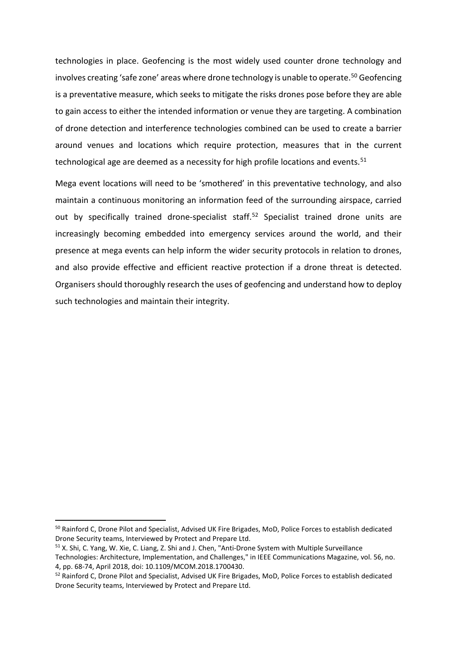technologies in place. Geofencing is the most widely used counter drone technology and involves creating 'safe zone' areas where drone technology is unable to operate.<sup>[50](#page-16-0)</sup> Geofencing is a preventative measure, which seeks to mitigate the risks drones pose before they are able to gain access to either the intended information or venue they are targeting. A combination of drone detection and interference technologies combined can be used to create a barrier around venues and locations which require protection, measures that in the current technological age are deemed as a necessity for high profile locations and events.<sup>[51](#page-16-1)</sup>

Mega event locations will need to be 'smothered' in this preventative technology, and also maintain a continuous monitoring an information feed of the surrounding airspace, carried out by specifically trained drone-specialist staff.<sup>52</sup> Specialist trained drone units are increasingly becoming embedded into emergency services around the world, and their presence at mega events can help inform the wider security protocols in relation to drones, and also provide effective and efficient reactive protection if a drone threat is detected. Organisers should thoroughly research the uses of geofencing and understand how to deploy such technologies and maintain their integrity.

<span id="page-16-0"></span> <sup>50</sup> Rainford C, Drone Pilot and Specialist, Advised UK Fire Brigades, MoD, Police Forces to establish dedicated Drone Security teams, Interviewed by Protect and Prepare Ltd.

<span id="page-16-1"></span><sup>51</sup> X. Shi, C. Yang, W. Xie, C. Liang, Z. Shi and J. Chen, "Anti-Drone System with Multiple Surveillance Technologies: Architecture, Implementation, and Challenges," in IEEE Communications Magazine, vol. 56, no. 4, pp. 68-74, April 2018, doi: 10.1109/MCOM.2018.1700430.

<span id="page-16-2"></span><sup>52</sup> Rainford C, Drone Pilot and Specialist, Advised UK Fire Brigades, MoD, Police Forces to establish dedicated Drone Security teams, Interviewed by Protect and Prepare Ltd.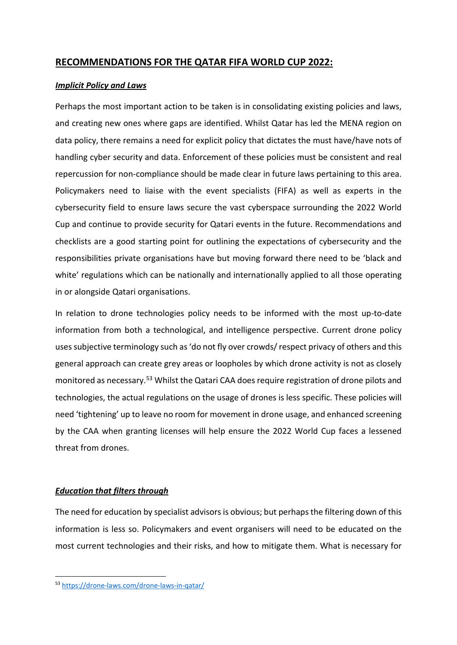## **RECOMMENDATIONS FOR THE QATAR FIFA WORLD CUP 2022:**

## *Implicit Policy and Laws*

Perhaps the most important action to be taken is in consolidating existing policies and laws, and creating new ones where gaps are identified. Whilst Qatar has led the MENA region on data policy, there remains a need for explicit policy that dictates the must have/have nots of handling cyber security and data. Enforcement of these policies must be consistent and real repercussion for non-compliance should be made clear in future laws pertaining to this area. Policymakers need to liaise with the event specialists (FIFA) as well as experts in the cybersecurity field to ensure laws secure the vast cyberspace surrounding the 2022 World Cup and continue to provide security for Qatari events in the future. Recommendations and checklists are a good starting point for outlining the expectations of cybersecurity and the responsibilities private organisations have but moving forward there need to be 'black and white' regulations which can be nationally and internationally applied to all those operating in or alongside Qatari organisations.

In relation to drone technologies policy needs to be informed with the most up-to-date information from both a technological, and intelligence perspective. Current drone policy uses subjective terminology such as 'do not fly over crowds/ respect privacy of others and this general approach can create grey areas or loopholes by which drone activity is not as closely monitored as necessary.[53](#page-17-0) Whilst the Qatari CAA does require registration of drone pilots and technologies, the actual regulations on the usage of drones is less specific. These policies will need 'tightening' up to leave no room for movement in drone usage, and enhanced screening by the CAA when granting licenses will help ensure the 2022 World Cup faces a lessened threat from drones.

## *Education that filters through*

The need for education by specialist advisors is obvious; but perhaps the filtering down of this information is less so. Policymakers and event organisers will need to be educated on the most current technologies and their risks, and how to mitigate them. What is necessary for

<span id="page-17-0"></span> <sup>53</sup> <https://drone-laws.com/drone-laws-in-qatar/>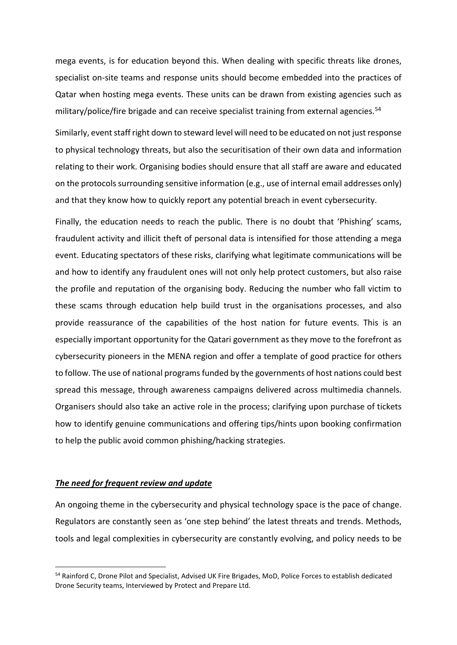mega events, is for education beyond this. When dealing with specific threats like drones, specialist on-site teams and response units should become embedded into the practices of Qatar when hosting mega events. These units can be drawn from existing agencies such as military/police/fire brigade and can receive specialist training from external agencies.<sup>[54](#page-18-0)</sup>

Similarly, event staff right down to steward level will need to be educated on not just response to physical technology threats, but also the securitisation of their own data and information relating to their work. Organising bodies should ensure that all staff are aware and educated on the protocols surrounding sensitive information (e.g., use of internal email addresses only) and that they know how to quickly report any potential breach in event cybersecurity.

Finally, the education needs to reach the public. There is no doubt that 'Phishing' scams, fraudulent activity and illicit theft of personal data is intensified for those attending a mega event. Educating spectators of these risks, clarifying what legitimate communications will be and how to identify any fraudulent ones will not only help protect customers, but also raise the profile and reputation of the organising body. Reducing the number who fall victim to these scams through education help build trust in the organisations processes, and also provide reassurance of the capabilities of the host nation for future events. This is an especially important opportunity for the Qatari government as they move to the forefront as cybersecurity pioneers in the MENA region and offer a template of good practice for others to follow. The use of national programs funded by the governments of host nations could best spread this message, through awareness campaigns delivered across multimedia channels. Organisers should also take an active role in the process; clarifying upon purchase of tickets how to identify genuine communications and offering tips/hints upon booking confirmation to help the public avoid common phishing/hacking strategies.

### *The need for frequent review and update*

An ongoing theme in the cybersecurity and physical technology space is the pace of change. Regulators are constantly seen as 'one step behind' the latest threats and trends. Methods, tools and legal complexities in cybersecurity are constantly evolving, and policy needs to be

<span id="page-18-0"></span> <sup>54</sup> Rainford C, Drone Pilot and Specialist, Advised UK Fire Brigades, MoD, Police Forces to establish dedicated Drone Security teams, Interviewed by Protect and Prepare Ltd.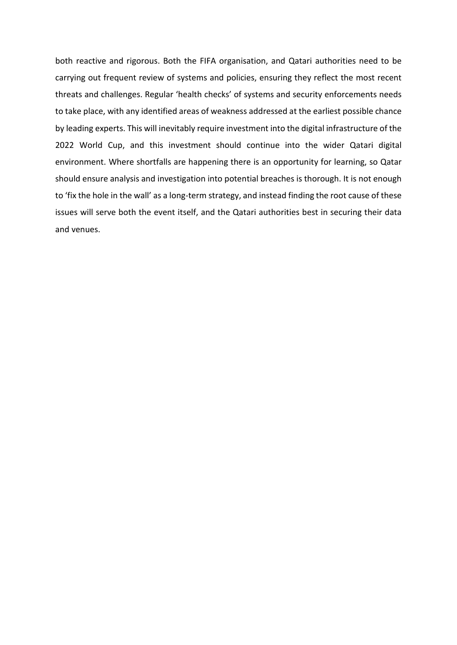both reactive and rigorous. Both the FIFA organisation, and Qatari authorities need to be carrying out frequent review of systems and policies, ensuring they reflect the most recent threats and challenges. Regular 'health checks' of systems and security enforcements needs to take place, with any identified areas of weakness addressed at the earliest possible chance by leading experts. This will inevitably require investment into the digital infrastructure of the 2022 World Cup, and this investment should continue into the wider Qatari digital environment. Where shortfalls are happening there is an opportunity for learning, so Qatar should ensure analysis and investigation into potential breaches is thorough. It is not enough to 'fix the hole in the wall' as a long-term strategy, and instead finding the root cause of these issues will serve both the event itself, and the Qatari authorities best in securing their data and venues.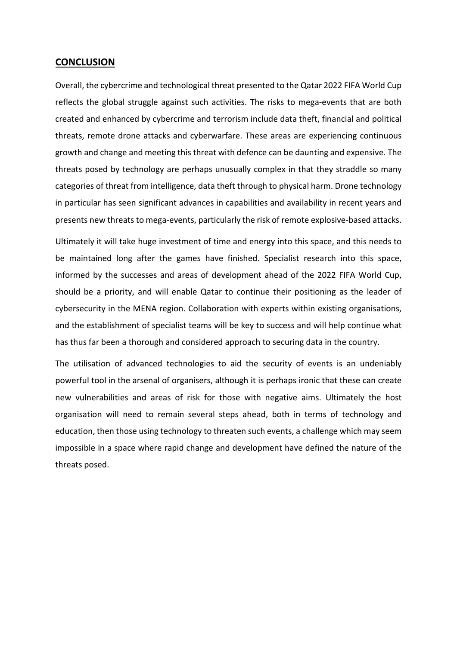### **CONCLUSION**

Overall, the cybercrime and technological threat presented to the Qatar 2022 FIFA World Cup reflects the global struggle against such activities. The risks to mega-events that are both created and enhanced by cybercrime and terrorism include data theft, financial and political threats, remote drone attacks and cyberwarfare. These areas are experiencing continuous growth and change and meeting this threat with defence can be daunting and expensive. The threats posed by technology are perhaps unusually complex in that they straddle so many categories of threat from intelligence, data theft through to physical harm. Drone technology in particular has seen significant advances in capabilities and availability in recent years and presents new threats to mega-events, particularly the risk of remote explosive-based attacks.

Ultimately it will take huge investment of time and energy into this space, and this needs to be maintained long after the games have finished. Specialist research into this space, informed by the successes and areas of development ahead of the 2022 FIFA World Cup, should be a priority, and will enable Qatar to continue their positioning as the leader of cybersecurity in the MENA region. Collaboration with experts within existing organisations, and the establishment of specialist teams will be key to success and will help continue what has thus far been a thorough and considered approach to securing data in the country.

The utilisation of advanced technologies to aid the security of events is an undeniably powerful tool in the arsenal of organisers, although it is perhaps ironic that these can create new vulnerabilities and areas of risk for those with negative aims. Ultimately the host organisation will need to remain several steps ahead, both in terms of technology and education, then those using technology to threaten such events, a challenge which may seem impossible in a space where rapid change and development have defined the nature of the threats posed.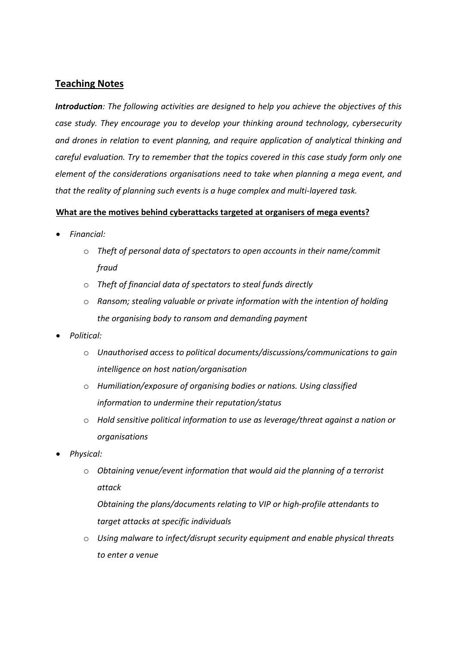## **Teaching Notes**

*Introduction: The following activities are designed to help you achieve the objectives of this case study. They encourage you to develop your thinking around technology, cybersecurity and drones in relation to event planning, and require application of analytical thinking and careful evaluation. Try to remember that the topics covered in this case study form only one element of the considerations organisations need to take when planning a mega event, and that the reality of planning such events is a huge complex and multi-layered task.*

## **What are the motives behind cyberattacks targeted at organisers of mega events?**

- *Financial:*
	- o *Theft of personal data of spectators to open accounts in their name/commit fraud*
	- o *Theft of financial data of spectators to steal funds directly*
	- o *Ransom; stealing valuable or private information with the intention of holding the organising body to ransom and demanding payment*
- *Political:*
	- o *Unauthorised access to political documents/discussions/communications to gain intelligence on host nation/organisation*
	- o *Humiliation/exposure of organising bodies or nations. Using classified information to undermine their reputation/status*
	- o *Hold sensitive political information to use as leverage/threat against a nation or organisations*
- *Physical:*
	- o *Obtaining venue/event information that would aid the planning of a terrorist attack*

*Obtaining the plans/documents relating to VIP or high-profile attendants to target attacks at specific individuals*

o *Using malware to infect/disrupt security equipment and enable physical threats to enter a venue*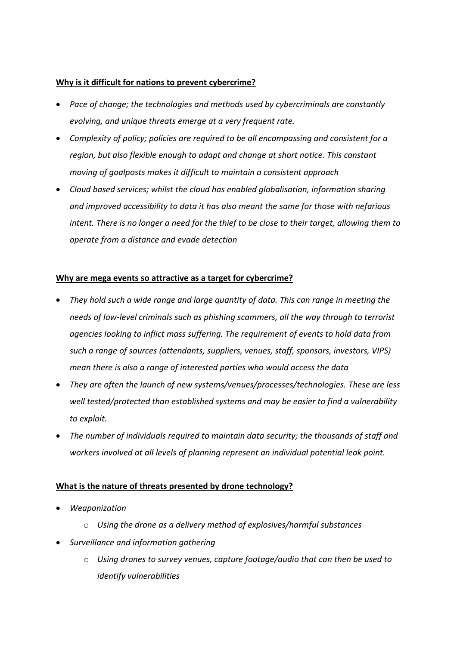## **Why is it difficult for nations to prevent cybercrime?**

- *Pace of change; the technologies and methods used by cybercriminals are constantly evolving, and unique threats emerge at a very frequent rate.*
- *Complexity of policy; policies are required to be all encompassing and consistent for a region, but also flexible enough to adapt and change at short notice. This constant moving of goalposts makes it difficult to maintain a consistent approach*
- *Cloud based services; whilst the cloud has enabled globalisation, information sharing and improved accessibility to data it has also meant the same for those with nefarious intent. There is no longer a need for the thief to be close to their target, allowing them to operate from a distance and evade detection*

## **Why are mega events so attractive as a target for cybercrime?**

- *They hold such a wide range and large quantity of data. This can range in meeting the needs of low-level criminals such as phishing scammers, all the way through to terrorist agencies looking to inflict mass suffering. The requirement of events to hold data from such a range of sources (attendants, suppliers, venues, staff, sponsors, investors, VIPS) mean there is also a range of interested parties who would access the data*
- *They are often the launch of new systems/venues/processes/technologies. These are less well tested/protected than established systems and may be easier to find a vulnerability to exploit.*
- *The number of individuals required to maintain data security; the thousands of staff and workers involved at all levels of planning represent an individual potential leak point.*

## **What is the nature of threats presented by drone technology?**

- *Weaponization*
	- o *Using the drone as a delivery method of explosives/harmful substances*
- *Surveillance and information gathering*
	- o *Using drones to survey venues, capture footage/audio that can then be used to identify vulnerabilities*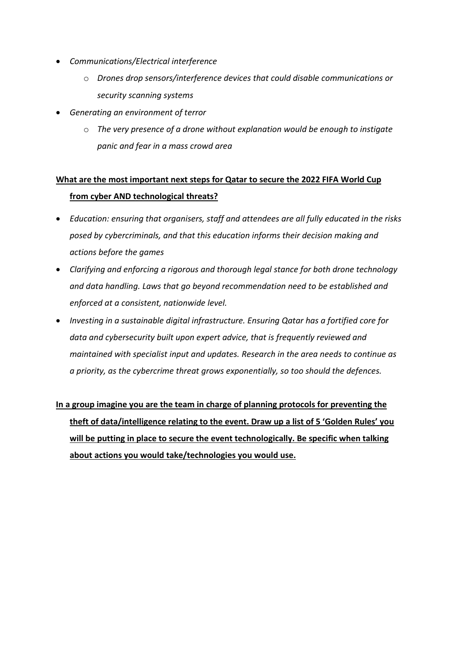- *Communications/Electrical interference*
	- o *Drones drop sensors/interference devices that could disable communications or security scanning systems*
- *Generating an environment of terror*
	- o *The very presence of a drone without explanation would be enough to instigate panic and fear in a mass crowd area*

## **What are the most important next steps for Qatar to secure the 2022 FIFA World Cup from cyber AND technological threats?**

- *Education: ensuring that organisers, staff and attendees are all fully educated in the risks posed by cybercriminals, and that this education informs their decision making and actions before the games*
- *Clarifying and enforcing a rigorous and thorough legal stance for both drone technology and data handling. Laws that go beyond recommendation need to be established and enforced at a consistent, nationwide level.*
- *Investing in a sustainable digital infrastructure. Ensuring Qatar has a fortified core for data and cybersecurity built upon expert advice, that is frequently reviewed and maintained with specialist input and updates. Research in the area needs to continue as a priority, as the cybercrime threat grows exponentially, so too should the defences.*

# **In a group imagine you are the team in charge of planning protocols for preventing the theft of data/intelligence relating to the event. Draw up a list of 5 'Golden Rules' you will be putting in place to secure the event technologically. Be specific when talking about actions you would take/technologies you would use.**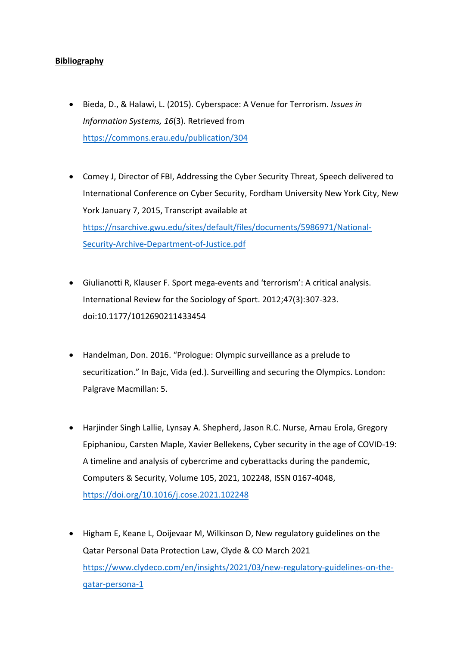## **Bibliography**

- Bieda, D., & Halawi, L. (2015). Cyberspace: A Venue for Terrorism. *Issues in Information Systems, 16*(3). Retrieved from <https://commons.erau.edu/publication/304>
- Comey J, Director of FBI, Addressing the Cyber Security Threat, Speech delivered to International Conference on Cyber Security, Fordham University New York City, New York January 7, 2015, Transcript available at [https://nsarchive.gwu.edu/sites/default/files/documents/5986971/National-](https://nsarchive.gwu.edu/sites/default/files/documents/5986971/National-Security-Archive-Department-of-Justice.pdf)[Security-Archive-Department-of-Justice.pdf](https://nsarchive.gwu.edu/sites/default/files/documents/5986971/National-Security-Archive-Department-of-Justice.pdf)
- Giulianotti R, Klauser F. Sport mega-events and 'terrorism': A critical analysis. International Review for the Sociology of Sport. 2012;47(3):307-323. doi:10.1177/1012690211433454
- Handelman, Don. 2016. "Prologue: Olympic surveillance as a prelude to securitization." In Bajc, Vida (ed.). Surveilling and securing the Olympics. London: Palgrave Macmillan: 5.
- Harjinder Singh Lallie, Lynsay A. Shepherd, Jason R.C. Nurse, Arnau Erola, Gregory Epiphaniou, Carsten Maple, Xavier Bellekens, Cyber security in the age of COVID-19: A timeline and analysis of cybercrime and cyberattacks during the pandemic, Computers & Security, Volume 105, 2021, 102248, ISSN 0167-4048, <https://doi.org/10.1016/j.cose.2021.102248>
- Higham E, Keane L, Ooijevaar M, Wilkinson D, New regulatory guidelines on the Qatar Personal Data Protection Law, Clyde & CO March 2021 [https://www.clydeco.com/en/insights/2021/03/new-regulatory-guidelines-on-the](https://www.clydeco.com/en/insights/2021/03/new-regulatory-guidelines-on-the-qatar-persona-1)[qatar-persona-1](https://www.clydeco.com/en/insights/2021/03/new-regulatory-guidelines-on-the-qatar-persona-1)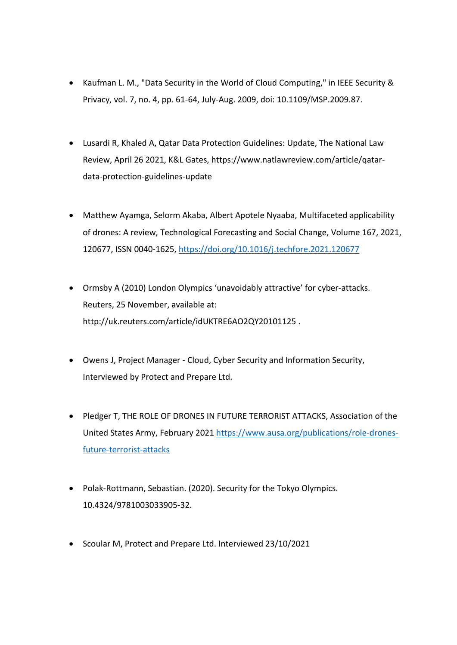- Kaufman L. M., "Data Security in the World of Cloud Computing," in IEEE Security & Privacy, vol. 7, no. 4, pp. 61-64, July-Aug. 2009, doi: 10.1109/MSP.2009.87.
- Lusardi R, Khaled A, Qatar Data Protection Guidelines: Update, The National Law Review, April 26 2021, K&L Gates, https://www.natlawreview.com/article/qatardata-protection-guidelines-update
- Matthew Ayamga, Selorm Akaba, Albert Apotele Nyaaba, Multifaceted applicability of drones: A review, Technological Forecasting and Social Change, Volume 167, 2021, 120677, ISSN 0040-1625[, https://doi.org/10.1016/j.techfore.2021.120677](https://doi.org/10.1016/j.techfore.2021.120677)
- Ormsby A (2010) London Olympics 'unavoidably attractive' for cyber-attacks. Reuters, 25 November, available at: http://uk.reuters.com/article/idUKTRE6AO2QY20101125 .
- Owens J, Project Manager Cloud, Cyber Security and Information Security, Interviewed by Protect and Prepare Ltd.
- Pledger T, THE ROLE OF DRONES IN FUTURE TERRORIST ATTACKS, Association of the United States Army, February 202[1 https://www.ausa.org/publications/role-drones](https://www.ausa.org/publications/role-drones-future-terrorist-attacks)[future-terrorist-attacks](https://www.ausa.org/publications/role-drones-future-terrorist-attacks)
- Polak-Rottmann, Sebastian. (2020). Security for the Tokyo Olympics. 10.4324/9781003033905-32.
- Scoular M, Protect and Prepare Ltd. Interviewed 23/10/2021